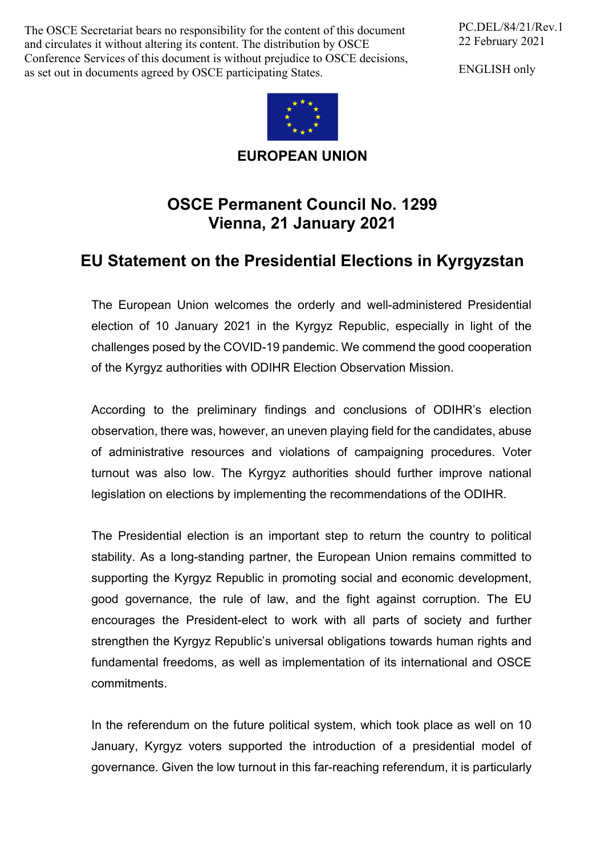The OSCE Secretariat bears no responsibility for the content of this document and circulates it without altering its content. The distribution by OSCE Conference Services of this document is without prejudice to OSCE decisions, as set out in documents agreed by OSCE participating States.

PC.DEL/84/21/Rev.1 22 February 2021

ENGLISH only



**EUROPEAN UNION**

## **OSCE Permanent Council No. 1299 Vienna, 21 January 2021**

## **EU Statement on the Presidential Elections in Kyrgyzstan**

The European Union welcomes the orderly and well-administered Presidential election of 10 January 2021 in the Kyrgyz Republic, especially in light of the challenges posed by the COVID-19 pandemic. We commend the good cooperation of the Kyrgyz authorities with ODIHR Election Observation Mission.

According to the preliminary findings and conclusions of ODIHR's election observation, there was, however, an uneven playing field for the candidates, abuse of administrative resources and violations of campaigning procedures. Voter turnout was also low. The Kyrgyz authorities should further improve national legislation on elections by implementing the recommendations of the ODIHR.

The Presidential election is an important step to return the country to political stability. As a long-standing partner, the European Union remains committed to supporting the Kyrgyz Republic in promoting social and economic development, good governance, the rule of law, and the fight against corruption. The EU encourages the President-elect to work with all parts of society and further strengthen the Kyrgyz Republic's universal obligations towards human rights and fundamental freedoms, as well as implementation of its international and OSCE commitments.

In the referendum on the future political system, which took place as well on 10 January, Kyrgyz voters supported the introduction of a presidential model of governance. Given the low turnout in this far-reaching referendum, it is particularly